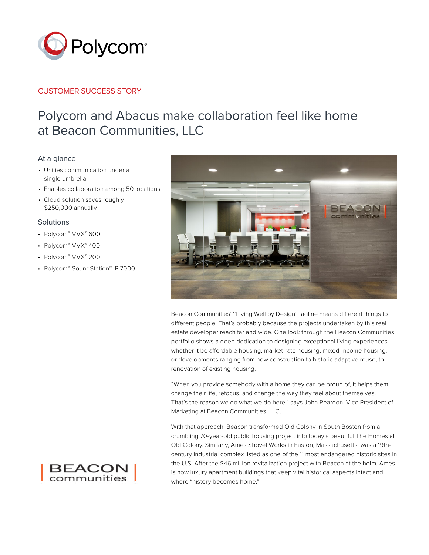

## CUSTOMER SUCCESS STORY

# Polycom and Abacus make collaboration feel like home at Beacon Communities, LLC

### At a glance

- Unifies communication under a single umbrella
- Enables collaboration among 50 locations
- Cloud solution saves roughly \$250,000 annually

#### **Solutions**

- Polycom® VVX® 600
- Polycom® VVX® 400
- Polycom® VVX® 200
- Polycom® SoundStation® IP 7000



Beacon Communities' ''Living Well by Design" tagline means different things to different people. That's probably because the projects undertaken by this real estate developer reach far and wide. One look through the Beacon Communities portfolio shows a deep dedication to designing exceptional living experiences whether it be affordable housing, market-rate housing, mixed-income housing, or developments ranging from new construction to historic adaptive reuse, to renovation of existing housing.

"When you provide somebody with a home they can be proud of, it helps them change their life, refocus, and change the way they feel about themselves. That's the reason we do what we do here," says John Reardon, Vice President of Marketing at Beacon Communities, LLC.

With that approach, Beacon transformed Old Colony in South Boston from a crumbling 70-year-old public housing project into today's beautiful The Homes at Old Colony. Similarly, Ames Shovel Works in Easton, Massachusetts, was a 19thcentury industrial complex listed as one of the 11 most endangered historic sites in the U.S. After the \$46 million revitalization project with Beacon at the helm, Ames is now luxury apartment buildings that keep vital historical aspects intact and where "history becomes home."

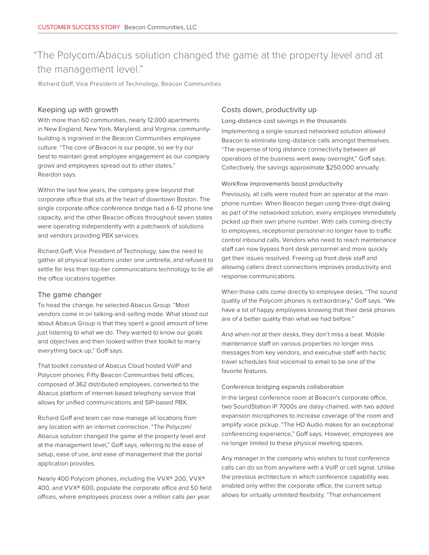# "The Polycom/Abacus solution changed the game at the property level and at the management level."

Richard Goff, Vice President of Technology, Beacon Communities

#### Keeping up with growth

With more than 60 communities, nearly 12,000 apartments in New England, New York, Maryland, and Virginia, communitybuilding is ingrained in the Beacon Communities employee culture. "The core of Beacon is our people, so we try our best to maintain great employee engagement as our company grows and employees spread out to other states," Reardon says.

Within the last few years, the company grew beyond that corporate office that sits at the heart of downtown Boston. The single corporate office conference bridge had a 6-12 phone line capacity, and the other Beacon offices throughout seven states were operating independently with a patchwork of solutions and vendors providing PBX services.

Richard Goff, Vice President of Technology, saw the need to gather all physical locations under one umbrella, and refused to settle for less than top-tier communications technology to tie all the office locations together.

#### The game changer

To head the change, he selected Abacus Group. "Most vendors come in on talking-and-selling mode. What stood out about Abacus Group is that they spent a good amount of time just listening to what we do. They wanted to know our goals and objectives and then looked within their toolkit to marry everything back up," Goff says.

That toolkit consisted of Abacus Cloud hosted VoIP and Polycom phones. Fifty Beacon Communities field offices, composed of 362 distributed employees, converted to the Abacus platform of internet-based telephony service that allows for unified communications and SIP-based PBX.

Richard Goff and team can now manage all locations from any location with an internet connection. "The Polycom/ Abacus solution changed the game at the property level and at the management level," Goff says, referring to the ease of setup, ease of use, and ease of management that the portal application provides.

Nearly 400 Polycom phones, including the VVX® 200, VVX® 400, and VVX® 600, populate the corporate office and 50 field offices, where employees process over a million calls per year.

#### Costs down, productivity up

Long-distance cost savings in the thousands

Implementing a single-sourced networked solution allowed Beacon to eliminate long-distance calls amongst themselves. "The expense of long distance connectivity between all operations of the business went away overnight," Goff says. Collectively, the savings approximate \$250,000 annually.

#### Workflow improvements boost productivity

Previously, all calls were routed from an operator at the main phone number. When Beacon began using three-digit dialing as part of the networked solution, every employee immediately picked up their own phone number. With calls coming directly to employees, receptionist personnel no longer have to traffic control inbound calls. Vendors who need to reach maintenance staff can now bypass front desk personnel and more quickly get their issues resolved. Freeing up front desk staff and allowing callers direct connections improves productivity and response communications.

When those calls come directly to employee desks, "The sound quality of the Polycom phones is extraordinary," Goff says. "We have a lot of happy employees knowing that their desk phones are of a better quality than what we had before."

And when not at their desks, they don't miss a beat. Mobile maintenance staff on various properties no longer miss messages from key vendors, and executive staff with hectic travel schedules find voicemail to email to be one of the favorite features.

#### Conference bridging expands collaboration

In the largest conference room at Beacon's corporate office, two SoundStation IP 7000s are daisy-chained, with two added expansion microphones to increase coverage of the room and amplify voice pickup. "The HD Audio makes for an exceptional conferencing experience," Goff says. However, employees are no longer limited to these physical meeting spaces.

Any manager in the company who wishes to host conference calls can do so from anywhere with a VoIP or cell signal. Unlike the previous architecture in which conference capability was enabled only within the corporate office, the current setup allows for virtually unlimited flexibility. "That enhancement